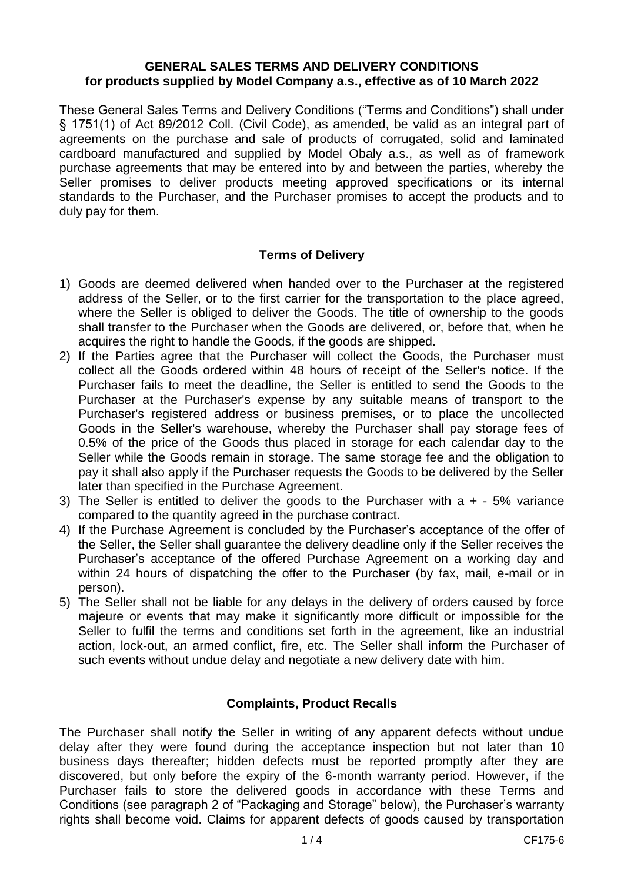### **GENERAL SALES TERMS AND DELIVERY CONDITIONS for products supplied by Model Company a.s., effective as of 10 March 2022**

These General Sales Terms and Delivery Conditions ("Terms and Conditions") shall under § 1751(1) of Act 89/2012 Coll. (Civil Code), as amended, be valid as an integral part of agreements on the purchase and sale of products of corrugated, solid and laminated cardboard manufactured and supplied by Model Obaly a.s., as well as of framework purchase agreements that may be entered into by and between the parties, whereby the Seller promises to deliver products meeting approved specifications or its internal standards to the Purchaser, and the Purchaser promises to accept the products and to duly pay for them.

## **Terms of Delivery**

- 1) Goods are deemed delivered when handed over to the Purchaser at the registered address of the Seller, or to the first carrier for the transportation to the place agreed, where the Seller is obliged to deliver the Goods. The title of ownership to the goods shall transfer to the Purchaser when the Goods are delivered, or, before that, when he acquires the right to handle the Goods, if the goods are shipped.
- 2) If the Parties agree that the Purchaser will collect the Goods, the Purchaser must collect all the Goods ordered within 48 hours of receipt of the Seller's notice. If the Purchaser fails to meet the deadline, the Seller is entitled to send the Goods to the Purchaser at the Purchaser's expense by any suitable means of transport to the Purchaser's registered address or business premises, or to place the uncollected Goods in the Seller's warehouse, whereby the Purchaser shall pay storage fees of 0.5% of the price of the Goods thus placed in storage for each calendar day to the Seller while the Goods remain in storage. The same storage fee and the obligation to pay it shall also apply if the Purchaser requests the Goods to be delivered by the Seller later than specified in the Purchase Agreement.
- 3) The Seller is entitled to deliver the goods to the Purchaser with  $a + -5\%$  variance compared to the quantity agreed in the purchase contract.
- 4) If the Purchase Agreement is concluded by the Purchaser's acceptance of the offer of the Seller, the Seller shall guarantee the delivery deadline only if the Seller receives the Purchaser's acceptance of the offered Purchase Agreement on a working day and within 24 hours of dispatching the offer to the Purchaser (by fax, mail, e-mail or in person).
- 5) The Seller shall not be liable for any delays in the delivery of orders caused by force majeure or events that may make it significantly more difficult or impossible for the Seller to fulfil the terms and conditions set forth in the agreement, like an industrial action, lock-out, an armed conflict, fire, etc. The Seller shall inform the Purchaser of such events without undue delay and negotiate a new delivery date with him.

### **Complaints, Product Recalls**

The Purchaser shall notify the Seller in writing of any apparent defects without undue delay after they were found during the acceptance inspection but not later than 10 business days thereafter; hidden defects must be reported promptly after they are discovered, but only before the expiry of the 6-month warranty period. However, if the Purchaser fails to store the delivered goods in accordance with these Terms and Conditions (see paragraph 2 of "Packaging and Storage" below), the Purchaser's warranty rights shall become void. Claims for apparent defects of goods caused by transportation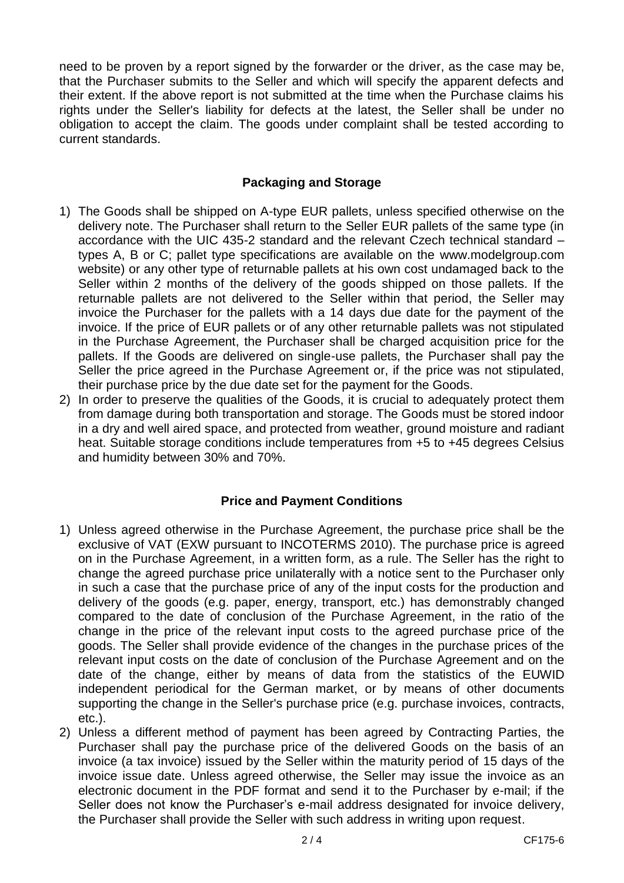need to be proven by a report signed by the forwarder or the driver, as the case may be, that the Purchaser submits to the Seller and which will specify the apparent defects and their extent. If the above report is not submitted at the time when the Purchase claims his rights under the Seller's liability for defects at the latest, the Seller shall be under no obligation to accept the claim. The goods under complaint shall be tested according to current standards.

# **Packaging and Storage**

- 1) The Goods shall be shipped on A-type EUR pallets, unless specified otherwise on the delivery note. The Purchaser shall return to the Seller EUR pallets of the same type (in accordance with the UIC 435-2 standard and the relevant Czech technical standard – types A, B or C; pallet type specifications are available on the [www.modelgroup.com](http://www.modelgroup.com/) website) or any other type of returnable pallets at his own cost undamaged back to the Seller within 2 months of the delivery of the goods shipped on those pallets. If the returnable pallets are not delivered to the Seller within that period, the Seller may invoice the Purchaser for the pallets with a 14 days due date for the payment of the invoice. If the price of EUR pallets or of any other returnable pallets was not stipulated in the Purchase Agreement, the Purchaser shall be charged acquisition price for the pallets. If the Goods are delivered on single-use pallets, the Purchaser shall pay the Seller the price agreed in the Purchase Agreement or, if the price was not stipulated, their purchase price by the due date set for the payment for the Goods.
- 2) In order to preserve the qualities of the Goods, it is crucial to adequately protect them from damage during both transportation and storage. The Goods must be stored indoor in a dry and well aired space, and protected from weather, ground moisture and radiant heat. Suitable storage conditions include temperatures from  $+5$  to  $+45$  degrees Celsius and humidity between 30% and 70%.

# **Price and Payment Conditions**

- 1) Unless agreed otherwise in the Purchase Agreement, the purchase price shall be the exclusive of VAT (EXW pursuant to INCOTERMS 2010). The purchase price is agreed on in the Purchase Agreement, in a written form, as a rule. The Seller has the right to change the agreed purchase price unilaterally with a notice sent to the Purchaser only in such a case that the purchase price of any of the input costs for the production and delivery of the goods (e.g. paper, energy, transport, etc.) has demonstrably changed compared to the date of conclusion of the Purchase Agreement, in the ratio of the change in the price of the relevant input costs to the agreed purchase price of the goods. The Seller shall provide evidence of the changes in the purchase prices of the relevant input costs on the date of conclusion of the Purchase Agreement and on the date of the change, either by means of data from the statistics of the EUWID independent periodical for the German market, or by means of other documents supporting the change in the Seller's purchase price (e.g. purchase invoices, contracts, etc.).
- 2) Unless a different method of payment has been agreed by Contracting Parties, the Purchaser shall pay the purchase price of the delivered Goods on the basis of an invoice (a tax invoice) issued by the Seller within the maturity period of 15 days of the invoice issue date. Unless agreed otherwise, the Seller may issue the invoice as an electronic document in the PDF format and send it to the Purchaser by e-mail; if the Seller does not know the Purchaser's e-mail address designated for invoice delivery, the Purchaser shall provide the Seller with such address in writing upon request.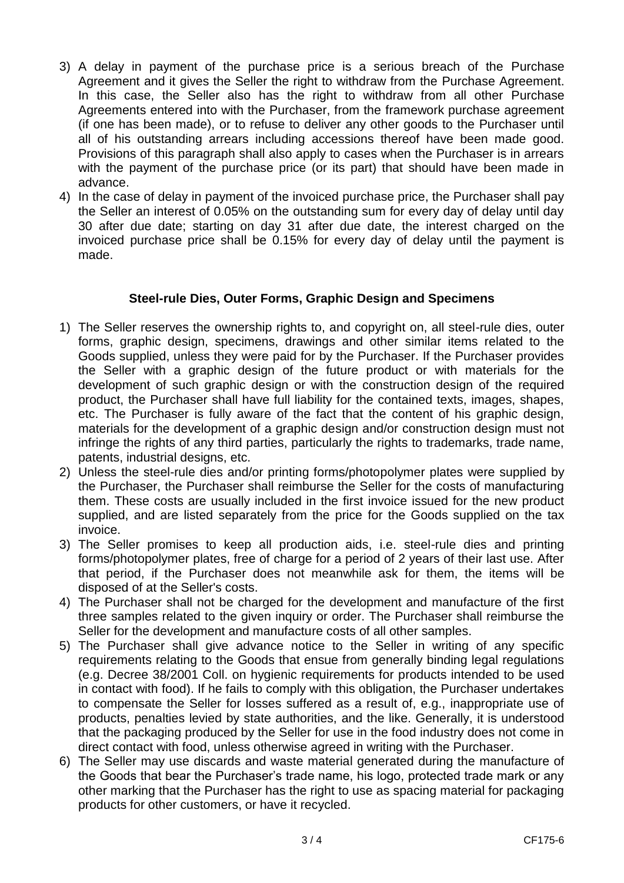- 3) A delay in payment of the purchase price is a serious breach of the Purchase Agreement and it gives the Seller the right to withdraw from the Purchase Agreement. In this case, the Seller also has the right to withdraw from all other Purchase Agreements entered into with the Purchaser, from the framework purchase agreement (if one has been made), or to refuse to deliver any other goods to the Purchaser until all of his outstanding arrears including accessions thereof have been made good. Provisions of this paragraph shall also apply to cases when the Purchaser is in arrears with the payment of the purchase price (or its part) that should have been made in advance.
- 4) In the case of delay in payment of the invoiced purchase price, the Purchaser shall pay the Seller an interest of 0.05% on the outstanding sum for every day of delay until day 30 after due date; starting on day 31 after due date, the interest charged on the invoiced purchase price shall be 0.15% for every day of delay until the payment is made.

# **Steel-rule Dies, Outer Forms, Graphic Design and Specimens**

- 1) The Seller reserves the ownership rights to, and copyright on, all steel-rule dies, outer forms, graphic design, specimens, drawings and other similar items related to the Goods supplied, unless they were paid for by the Purchaser. If the Purchaser provides the Seller with a graphic design of the future product or with materials for the development of such graphic design or with the construction design of the required product, the Purchaser shall have full liability for the contained texts, images, shapes, etc. The Purchaser is fully aware of the fact that the content of his graphic design, materials for the development of a graphic design and/or construction design must not infringe the rights of any third parties, particularly the rights to trademarks, trade name, patents, industrial designs, etc.
- 2) Unless the steel-rule dies and/or printing forms/photopolymer plates were supplied by the Purchaser, the Purchaser shall reimburse the Seller for the costs of manufacturing them. These costs are usually included in the first invoice issued for the new product supplied, and are listed separately from the price for the Goods supplied on the tax invoice.
- 3) The Seller promises to keep all production aids, i.e. steel-rule dies and printing forms/photopolymer plates, free of charge for a period of 2 years of their last use. After that period, if the Purchaser does not meanwhile ask for them, the items will be disposed of at the Seller's costs.
- 4) The Purchaser shall not be charged for the development and manufacture of the first three samples related to the given inquiry or order. The Purchaser shall reimburse the Seller for the development and manufacture costs of all other samples.
- 5) The Purchaser shall give advance notice to the Seller in writing of any specific requirements relating to the Goods that ensue from generally binding legal regulations (e.g. Decree 38/2001 Coll. on hygienic requirements for products intended to be used in contact with food). If he fails to comply with this obligation, the Purchaser undertakes to compensate the Seller for losses suffered as a result of, e.g., inappropriate use of products, penalties levied by state authorities, and the like. Generally, it is understood that the packaging produced by the Seller for use in the food industry does not come in direct contact with food, unless otherwise agreed in writing with the Purchaser.
- 6) The Seller may use discards and waste material generated during the manufacture of the Goods that bear the Purchaser's trade name, his logo, protected trade mark or any other marking that the Purchaser has the right to use as spacing material for packaging products for other customers, or have it recycled.